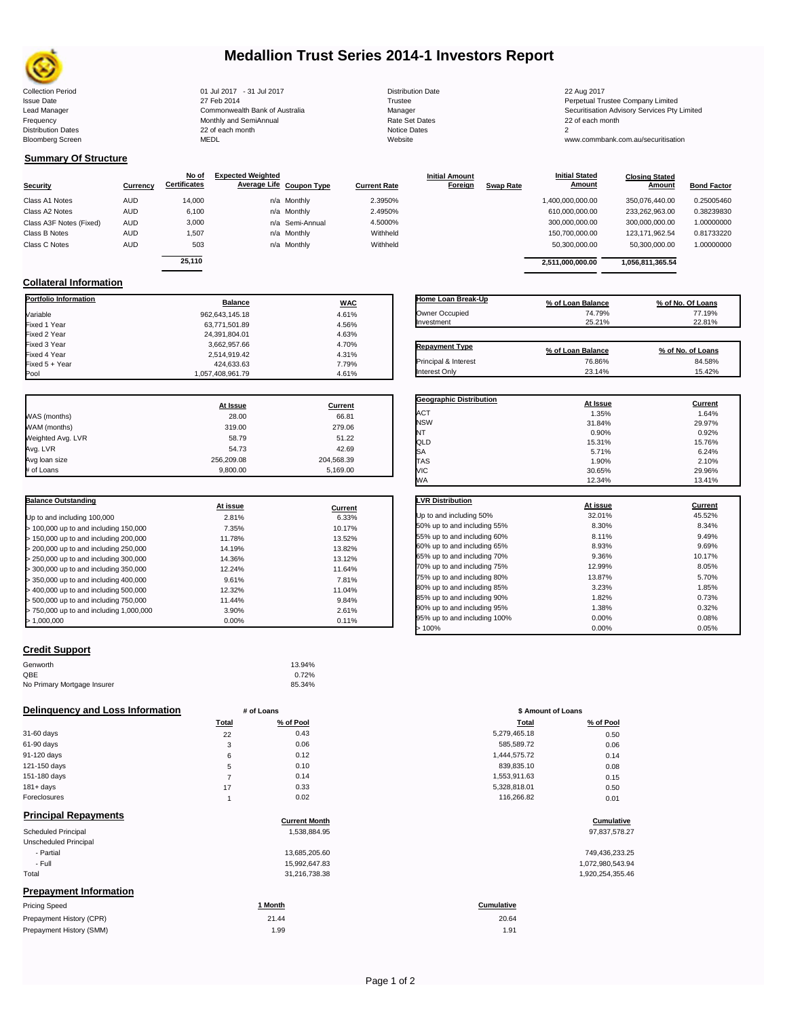

## **Medallion Trust Series 2014-1 Investors Report**

Collection Period 01 Jul 2017 - 31 Jul 2017 Distribution Date 22 Aug 2017 Issue Date 2014 27 Feb 2014 27 Feb 2014<br>Isaad Manager 2015 2017 Commonwealth Bank of Australia 2016 Manager 2016 2017 2017 Securitisation Advisory Services Pty Frequency Communication Communication Monthly and SemiAnnual Communication Communication Communication Communication Communication Communication Communication Communication Communication Communication Communication Communi Bloomberg Screen MEDL Website www.commbank.com.au/securitisation

n and the continuum continuum continuum continuum continuum continuum continuum continuum continuum continuum c<br>
22 of each month 2<br>
MEDL Website Website

Lead Manager **Commonwealth Bank of Australia** Manager Manager Securitisation Advisory Services Pty Limited Commonwealth Bank of Australia

## **Summary Of Structure**

**Collateral Information**

|                         |            | No of               | <b>Expected Weighted</b> |                     | <b>Initial Amount</b> |                  | <b>Initial Stated</b> | <b>Closing Stated</b> |                    |
|-------------------------|------------|---------------------|--------------------------|---------------------|-----------------------|------------------|-----------------------|-----------------------|--------------------|
| Security                | Currency   | <b>Certificates</b> | Average Life Coupon Type | <b>Current Rate</b> | Foreign               | <b>Swap Rate</b> | <b>Amount</b>         | Amount                | <b>Bond Factor</b> |
| Class A1 Notes          | <b>AUD</b> | 14.000              | n/a Monthly              | 2.3950%             |                       |                  | 1,400,000,000.00      | 350.076.440.00        | 0.25005460         |
| Class A2 Notes          | <b>AUD</b> | 6,100               | n/a Monthly              | 2.4950%             |                       |                  | 610,000,000.00        | 233,262,963.00        | 0.38239830         |
| Class A3F Notes (Fixed) | <b>AUD</b> | 3,000               | n/a Semi-Annual          | 4.5000%             |                       |                  | 300,000,000.00        | 300,000,000.00        | 1.00000000         |
| Class B Notes           | <b>AUD</b> | 1.507               | n/a Monthly              | Withheld            |                       |                  | 150,700,000.00        | 123.171.962.54        | 0.81733220         |
| Class C Notes           | <b>AUD</b> | 503                 | n/a Monthly              | Withheld            |                       |                  | 50,300,000.00         | 50,300,000.00         | 1.00000000         |
|                         |            | 25.110              |                          |                     |                       |                  |                       |                       |                    |
|                         |            |                     |                          |                     |                       |                  | 2.511.000.000.00      | 1,056,811,365.54      |                    |

**Portfolio Information Balance WAC** Variable 962,643,145.18 4.61% Fixed 1 Year 63,771,501.89 4.56% Fixed 2 Year 24,391,804.01 4.63% Fixed 3 Year 3,662,957.66 4.70% Fixed 4 Year 2,514,919.42 4.31% Fixed 5 + Year 424,633.63 7.79%

| Home Loan Break-Up    | % of Loan Balance | % of No. Of Loans |
|-----------------------|-------------------|-------------------|
| Owner Occupied        | 74.79%            | 77.19%            |
| Investment            | 25.21%            | 22.81%            |
|                       |                   |                   |
| <b>Repayment Type</b> | % of Loan Balance | % of No. of Loans |
| Principal & Interest  | 76.86%            | 84.58%            |
| <b>Interest Only</b>  | 23.14%            | 15.42%            |

**Geographic Distribution**<br> **ACT ACT ACT ACT ACT ACT ACT ACT ACT ACT ACT ACT ACT ACT ACT ACT ACT ACT ACT ACT ACT ACT ACT ACT ACT ACT ACT ACT** ACT 1.35% 1.64% NSW 31.84% 29.97% NT  $0.90\%$  0.92% 0.92%

**Initial Stated** 

|                   | At Issue   | <b>Current</b> |
|-------------------|------------|----------------|
| WAS (months)      | 28.00      | 66.81          |
| WAM (months)      | 319.00     | 279.06         |
| Weighted Avg. LVR | 58.79      | 51.22          |
| Avg. LVR          | 54.73      | 42.69          |
| Avg loan size     | 256.209.08 | 204.568.39     |
| # of Loans        | 9.800.00   | 5.169.00       |

1,057,408,961.79

| <b>Balance Outstanding</b>              |          |         |
|-----------------------------------------|----------|---------|
|                                         | At issue | Current |
| Up to and including 100,000             | 2.81%    | 6.33%   |
| $>$ 100,000 up to and including 150,000 | 7.35%    | 10.17%  |
| > 150,000 up to and including 200,000   | 11.78%   | 13.52%  |
| > 200,000 up to and including 250,000   | 14.19%   | 13.82%  |
| > 250,000 up to and including 300,000   | 14.36%   | 13.12%  |
| $>$ 300,000 up to and including 350,000 | 12.24%   | 11.64%  |
| $>$ 350,000 up to and including 400,000 | 9.61%    | 7.81%   |
| > 400,000 up to and including 500,000   | 12.32%   | 11.04%  |
| > 500,000 up to and including 750,000   | 11.44%   | 9.84%   |
| > 750,000 up to and including 1,000,000 | 3.90%    | 2.61%   |
| > 1.000.000                             | 0.00%    | 0.11%   |

| QLD                          | 15.31%   | 15.76%  |
|------------------------------|----------|---------|
| SА                           | 5.71%    | 6.24%   |
| TAS                          | 1.90%    | 2.10%   |
| VIC                          | 30.65%   | 29.96%  |
| WA                           | 12.34%   | 13.41%  |
| <b>LVR Distribution</b>      | At issue | Current |
| Up to and including 50%      | 32.01%   | 45.52%  |
| 50% up to and including 55%  | 8.30%    | 8.34%   |
| 55% up to and including 60%  | 8.11%    | 9.49%   |
| 60% up to and including 65%  | 8.93%    | 9.69%   |
| 65% up to and including 70%  | 9.36%    | 10.17%  |
| 70% up to and including 75%  | 12.99%   | 8.05%   |
| 75% up to and including 80%  | 13.87%   | 5.70%   |
| 80% up to and including 85%  | 3.23%    | 1.85%   |
| 85% up to and including 90%  | 1.82%    | 0.73%   |
| 90% up to and including 95%  | 1.38%    | 0.32%   |
| 95% up to and including 100% | 0.00%    | 0.08%   |

 $> 100\%$  0.00% 0.05% 0.05%

### **Credit Support**

| Genworth                    | 13.94% |
|-----------------------------|--------|
| QBE                         | 0.72%  |
| No Primary Mortgage Insurer | 85.34% |

### **Delinquency and Loss Information # of Loans**

|              | Total | % of Pool | Total        | % of Pool |
|--------------|-------|-----------|--------------|-----------|
| 31-60 days   | 22    | 0.43      | 5,279,465.18 | 0.50      |
| 61-90 days   | 3     | 0.06      | 585,589.72   | 0.06      |
| 91-120 days  | 6     | 0.12      | 1.444.575.72 | 0.14      |
| 121-150 days | 5     | 0.10      | 839,835.10   | 0.08      |
| 151-180 days |       | 0.14      | 1,553,911.63 | 0.15      |
| $181 + days$ | 17    | 0.33      | 5,328,818.01 | 0.50      |
| Foreclosures |       | 0.02      | 116,266.82   | 0.01      |
|              |       |           |              |           |

Prepayment History (SMM)

| <b>Principal Repayments</b>   |                      |                   |
|-------------------------------|----------------------|-------------------|
|                               | <b>Current Month</b> | Cumulative        |
| Scheduled Principal           | 1,538,884.95         | 97,837,578.27     |
| Unscheduled Principal         |                      |                   |
| - Partial                     | 13,685,205.60        | 749,436,233.25    |
| - Full                        | 15,992,647.83        | 1,072,980,543.94  |
| Total                         | 31,216,738.38        | 1,920,254,355.46  |
| <b>Prepayment Information</b> |                      |                   |
| <b>Pricing Speed</b>          | 1 Month              | <b>Cumulative</b> |
| Prepayment History (CPR)      | 21.44                | 20.64             |

| 15,992,647.83<br>31,216,738.38 |
|--------------------------------|
|                                |

| # of Loans |           | \$ Amount of Loans |           |  |
|------------|-----------|--------------------|-----------|--|
| Total      | % of Pool | <b>Total</b>       | % of Pool |  |
| 22         | 0.43      | 5,279,465.18       | 0.50      |  |
| 3          | 0.06      | 585,589.72         | 0.06      |  |
| 6          | 0.12      | 1,444,575.72       | 0.14      |  |
| 5          | 0.10      | 839,835.10         | 0.08      |  |
| 7          | 0.14      | 1,553,911.63       | 0.15      |  |
| 17         | 0.33      | 5,328,818.01       | 0.50      |  |
| 1          | 0.02      | 116,266.82         | 0.01      |  |
|            |           |                    |           |  |

# **Current Month Cumulative**

| 749,436,233.25   |
|------------------|
| 1,072,980,543.94 |
| 1,920,254,355.46 |

1.99 1.91